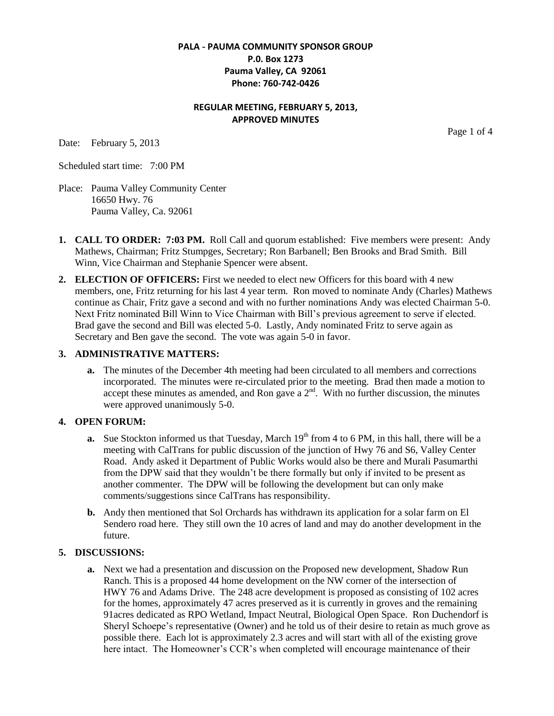#### **PALA - PAUMA COMMUNITY SPONSOR GROUP P.0. Box 1273 Pauma Valley, CA 92061 Phone: 760-742-0426**

## **REGULAR MEETING, FEBRUARY 5, 2013, APPROVED MINUTES**

Date: February 5, 2013

Page 1 of 4

Scheduled start time: 7:00 PM

- Place: Pauma Valley Community Center 16650 Hwy. 76 Pauma Valley, Ca. 92061
- **1. CALL TO ORDER: 7:03 PM.** Roll Call and quorum established: Five members were present: Andy Mathews, Chairman; Fritz Stumpges, Secretary; Ron Barbanell; Ben Brooks and Brad Smith. Bill Winn, Vice Chairman and Stephanie Spencer were absent.
- **2. ELECTION OF OFFICERS:** First we needed to elect new Officers for this board with 4 new members, one, Fritz returning for his last 4 year term. Ron moved to nominate Andy (Charles) Mathews continue as Chair, Fritz gave a second and with no further nominations Andy was elected Chairman 5-0. Next Fritz nominated Bill Winn to Vice Chairman with Bill's previous agreement to serve if elected. Brad gave the second and Bill was elected 5-0. Lastly, Andy nominated Fritz to serve again as Secretary and Ben gave the second. The vote was again 5-0 in favor.

#### **3. ADMINISTRATIVE MATTERS:**

**a.** The minutes of the December 4th meeting had been circulated to all members and corrections incorporated. The minutes were re-circulated prior to the meeting. Brad then made a motion to accept these minutes as amended, and Ron gave a  $2<sup>nd</sup>$ . With no further discussion, the minutes were approved unanimously 5-0.

### **4. OPEN FORUM:**

- **a.** Sue Stockton informed us that Tuesday, March 19<sup>th</sup> from 4 to 6 PM, in this hall, there will be a meeting with CalTrans for public discussion of the junction of Hwy 76 and S6, Valley Center Road. Andy asked it Department of Public Works would also be there and Murali Pasumarthi from the DPW said that they wouldn't be there formally but only if invited to be present as another commenter. The DPW will be following the development but can only make comments/suggestions since CalTrans has responsibility.
- **b.** Andy then mentioned that Sol Orchards has withdrawn its application for a solar farm on El Sendero road here. They still own the 10 acres of land and may do another development in the future.

### **5. DISCUSSIONS:**

**a.** Next we had a presentation and discussion on the Proposed new development, Shadow Run Ranch. This is a proposed 44 home development on the NW corner of the intersection of HWY 76 and Adams Drive. The 248 acre development is proposed as consisting of 102 acres for the homes, approximately 47 acres preserved as it is currently in groves and the remaining 91acres dedicated as RPO Wetland, Impact Neutral, Biological Open Space. Ron Duchendorf is Sheryl Schoepe's representative (Owner) and he told us of their desire to retain as much grove as possible there. Each lot is approximately 2.3 acres and will start with all of the existing grove here intact. The Homeowner's CCR's when completed will encourage maintenance of their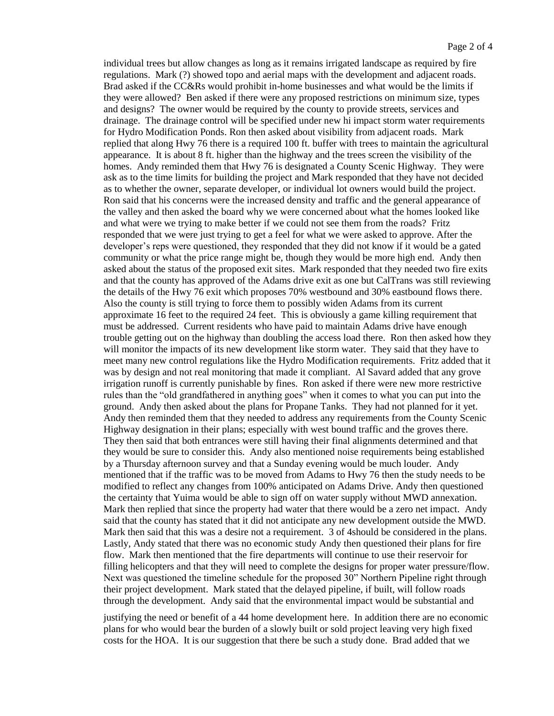individual trees but allow changes as long as it remains irrigated landscape as required by fire regulations. Mark (?) showed topo and aerial maps with the development and adjacent roads. Brad asked if the CC&Rs would prohibit in-home businesses and what would be the limits if they were allowed? Ben asked if there were any proposed restrictions on minimum size, types and designs? The owner would be required by the county to provide streets, services and drainage. The drainage control will be specified under new hi impact storm water requirements for Hydro Modification Ponds. Ron then asked about visibility from adjacent roads. Mark replied that along Hwy 76 there is a required 100 ft. buffer with trees to maintain the agricultural appearance. It is about 8 ft. higher than the highway and the trees screen the visibility of the homes. Andy reminded them that Hwy 76 is designated a County Scenic Highway. They were ask as to the time limits for building the project and Mark responded that they have not decided as to whether the owner, separate developer, or individual lot owners would build the project. Ron said that his concerns were the increased density and traffic and the general appearance of the valley and then asked the board why we were concerned about what the homes looked like and what were we trying to make better if we could not see them from the roads? Fritz responded that we were just trying to get a feel for what we were asked to approve. After the developer's reps were questioned, they responded that they did not know if it would be a gated community or what the price range might be, though they would be more high end. Andy then asked about the status of the proposed exit sites. Mark responded that they needed two fire exits and that the county has approved of the Adams drive exit as one but CalTrans was still reviewing the details of the Hwy 76 exit which proposes 70% westbound and 30% eastbound flows there. Also the county is still trying to force them to possibly widen Adams from its current approximate 16 feet to the required 24 feet. This is obviously a game killing requirement that must be addressed. Current residents who have paid to maintain Adams drive have enough trouble getting out on the highway than doubling the access load there. Ron then asked how they will monitor the impacts of its new development like storm water. They said that they have to meet many new control regulations like the Hydro Modification requirements. Fritz added that it was by design and not real monitoring that made it compliant. Al Savard added that any grove irrigation runoff is currently punishable by fines. Ron asked if there were new more restrictive rules than the "old grandfathered in anything goes" when it comes to what you can put into the ground. Andy then asked about the plans for Propane Tanks. They had not planned for it yet. Andy then reminded them that they needed to address any requirements from the County Scenic Highway designation in their plans; especially with west bound traffic and the groves there. They then said that both entrances were still having their final alignments determined and that they would be sure to consider this. Andy also mentioned noise requirements being established by a Thursday afternoon survey and that a Sunday evening would be much louder. Andy mentioned that if the traffic was to be moved from Adams to Hwy 76 then the study needs to be modified to reflect any changes from 100% anticipated on Adams Drive. Andy then questioned the certainty that Yuima would be able to sign off on water supply without MWD annexation. Mark then replied that since the property had water that there would be a zero net impact. Andy said that the county has stated that it did not anticipate any new development outside the MWD. Mark then said that this was a desire not a requirement. 3 of 4should be considered in the plans. Lastly, Andy stated that there was no economic study Andy then questioned their plans for fire flow. Mark then mentioned that the fire departments will continue to use their reservoir for filling helicopters and that they will need to complete the designs for proper water pressure/flow. Next was questioned the timeline schedule for the proposed 30" Northern Pipeline right through their project development. Mark stated that the delayed pipeline, if built, will follow roads through the development. Andy said that the environmental impact would be substantial and

justifying the need or benefit of a 44 home development here. In addition there are no economic plans for who would bear the burden of a slowly built or sold project leaving very high fixed costs for the HOA. It is our suggestion that there be such a study done. Brad added that we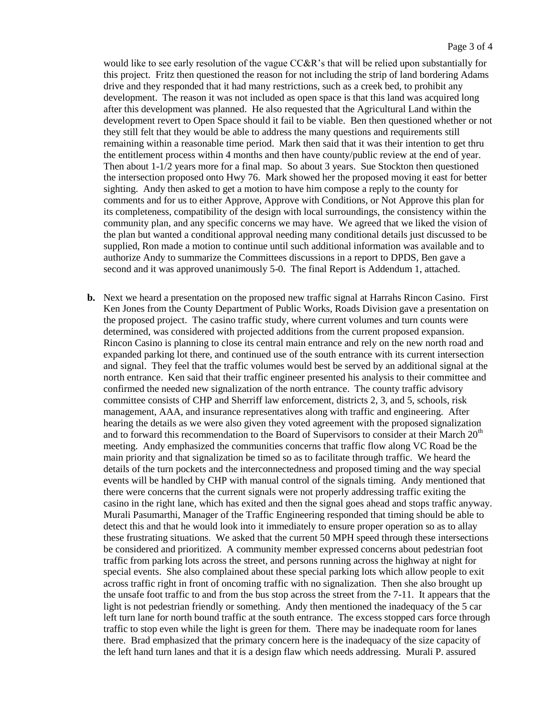would like to see early resolution of the vague CC&R's that will be relied upon substantially for this project. Fritz then questioned the reason for not including the strip of land bordering Adams drive and they responded that it had many restrictions, such as a creek bed, to prohibit any development. The reason it was not included as open space is that this land was acquired long after this development was planned. He also requested that the Agricultural Land within the development revert to Open Space should it fail to be viable. Ben then questioned whether or not they still felt that they would be able to address the many questions and requirements still remaining within a reasonable time period. Mark then said that it was their intention to get thru the entitlement process within 4 months and then have county/public review at the end of year. Then about 1-1/2 years more for a final map. So about 3 years. Sue Stockton then questioned the intersection proposed onto Hwy 76. Mark showed her the proposed moving it east for better sighting. Andy then asked to get a motion to have him compose a reply to the county for comments and for us to either Approve, Approve with Conditions, or Not Approve this plan for its completeness, compatibility of the design with local surroundings, the consistency within the community plan, and any specific concerns we may have. We agreed that we liked the vision of the plan but wanted a conditional approval needing many conditional details just discussed to be supplied, Ron made a motion to continue until such additional information was available and to authorize Andy to summarize the Committees discussions in a report to DPDS, Ben gave a second and it was approved unanimously 5-0. The final Report is Addendum 1, attached.

**b.** Next we heard a presentation on the proposed new traffic signal at Harrahs Rincon Casino. First Ken Jones from the County Department of Public Works, Roads Division gave a presentation on the proposed project. The casino traffic study, where current volumes and turn counts were determined, was considered with projected additions from the current proposed expansion. Rincon Casino is planning to close its central main entrance and rely on the new north road and expanded parking lot there, and continued use of the south entrance with its current intersection and signal. They feel that the traffic volumes would best be served by an additional signal at the north entrance. Ken said that their traffic engineer presented his analysis to their committee and confirmed the needed new signalization of the north entrance. The county traffic advisory committee consists of CHP and Sherriff law enforcement, districts 2, 3, and 5, schools, risk management, AAA, and insurance representatives along with traffic and engineering. After hearing the details as we were also given they voted agreement with the proposed signalization and to forward this recommendation to the Board of Supervisors to consider at their March  $20<sup>th</sup>$ meeting. Andy emphasized the communities concerns that traffic flow along VC Road be the main priority and that signalization be timed so as to facilitate through traffic. We heard the details of the turn pockets and the interconnectedness and proposed timing and the way special events will be handled by CHP with manual control of the signals timing. Andy mentioned that there were concerns that the current signals were not properly addressing traffic exiting the casino in the right lane, which has exited and then the signal goes ahead and stops traffic anyway. Murali Pasumarthi, Manager of the Traffic Engineering responded that timing should be able to detect this and that he would look into it immediately to ensure proper operation so as to allay these frustrating situations. We asked that the current 50 MPH speed through these intersections be considered and prioritized. A community member expressed concerns about pedestrian foot traffic from parking lots across the street, and persons running across the highway at night for special events. She also complained about these special parking lots which allow people to exit across traffic right in front of oncoming traffic with no signalization. Then she also brought up the unsafe foot traffic to and from the bus stop across the street from the 7-11. It appears that the light is not pedestrian friendly or something. Andy then mentioned the inadequacy of the 5 car left turn lane for north bound traffic at the south entrance. The excess stopped cars force through traffic to stop even while the light is green for them. There may be inadequate room for lanes there. Brad emphasized that the primary concern here is the inadequacy of the size capacity of the left hand turn lanes and that it is a design flaw which needs addressing. Murali P. assured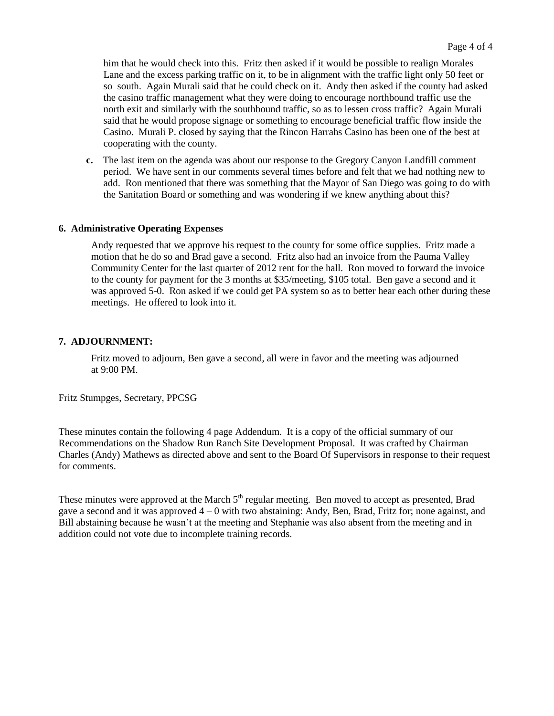him that he would check into this. Fritz then asked if it would be possible to realign Morales Lane and the excess parking traffic on it, to be in alignment with the traffic light only 50 feet or so south. Again Murali said that he could check on it. Andy then asked if the county had asked the casino traffic management what they were doing to encourage northbound traffic use the north exit and similarly with the southbound traffic, so as to lessen cross traffic? Again Murali said that he would propose signage or something to encourage beneficial traffic flow inside the Casino. Murali P. closed by saying that the Rincon Harrahs Casino has been one of the best at cooperating with the county.

 **c.** The last item on the agenda was about our response to the Gregory Canyon Landfill comment period. We have sent in our comments several times before and felt that we had nothing new to add. Ron mentioned that there was something that the Mayor of San Diego was going to do with the Sanitation Board or something and was wondering if we knew anything about this?

#### **6. Administrative Operating Expenses**

Andy requested that we approve his request to the county for some office supplies. Fritz made a motion that he do so and Brad gave a second. Fritz also had an invoice from the Pauma Valley Community Center for the last quarter of 2012 rent for the hall. Ron moved to forward the invoice to the county for payment for the 3 months at \$35/meeting, \$105 total. Ben gave a second and it was approved 5-0. Ron asked if we could get PA system so as to better hear each other during these meetings. He offered to look into it.

#### **7. ADJOURNMENT:**

Fritz moved to adjourn, Ben gave a second, all were in favor and the meeting was adjourned at 9:00 PM.

Fritz Stumpges, Secretary, PPCSG

These minutes contain the following 4 page Addendum. It is a copy of the official summary of our Recommendations on the Shadow Run Ranch Site Development Proposal. It was crafted by Chairman Charles (Andy) Mathews as directed above and sent to the Board Of Supervisors in response to their request for comments.

These minutes were approved at the March  $5<sup>th</sup>$  regular meeting. Ben moved to accept as presented, Brad gave a second and it was approved 4 – 0 with two abstaining: Andy, Ben, Brad, Fritz for; none against, and Bill abstaining because he wasn't at the meeting and Stephanie was also absent from the meeting and in addition could not vote due to incomplete training records.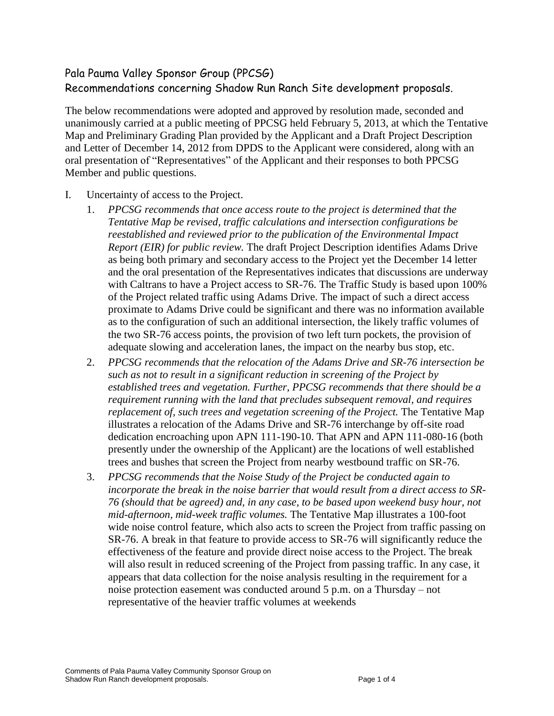# Pala Pauma Valley Sponsor Group (PPCSG) Recommendations concerning Shadow Run Ranch Site development proposals.

The below recommendations were adopted and approved by resolution made, seconded and unanimously carried at a public meeting of PPCSG held February 5, 2013, at which the Tentative Map and Preliminary Grading Plan provided by the Applicant and a Draft Project Description and Letter of December 14, 2012 from DPDS to the Applicant were considered, along with an oral presentation of "Representatives" of the Applicant and their responses to both PPCSG Member and public questions.

- I. Uncertainty of access to the Project.
	- 1. *PPCSG recommends that once access route to the project is determined that the Tentative Map be revised, traffic calculations and intersection configurations be reestablished and reviewed prior to the publication of the Environmental Impact Report (EIR) for public review.* The draft Project Description identifies Adams Drive as being both primary and secondary access to the Project yet the December 14 letter and the oral presentation of the Representatives indicates that discussions are underway with Caltrans to have a Project access to SR-76. The Traffic Study is based upon 100% of the Project related traffic using Adams Drive. The impact of such a direct access proximate to Adams Drive could be significant and there was no information available as to the configuration of such an additional intersection, the likely traffic volumes of the two SR-76 access points, the provision of two left turn pockets, the provision of adequate slowing and acceleration lanes, the impact on the nearby bus stop, etc.
	- 2. *PPCSG recommends that the relocation of the Adams Drive and SR-76 intersection be such as not to result in a significant reduction in screening of the Project by established trees and vegetation. Further, PPCSG recommends that there should be a requirement running with the land that precludes subsequent removal, and requires replacement of, such trees and vegetation screening of the Project.* The Tentative Map illustrates a relocation of the Adams Drive and SR-76 interchange by off-site road dedication encroaching upon APN 111-190-10. That APN and APN 111-080-16 (both presently under the ownership of the Applicant) are the locations of well established trees and bushes that screen the Project from nearby westbound traffic on SR-76.
	- 3. *PPCSG recommends that the Noise Study of the Project be conducted again to incorporate the break in the noise barrier that would result from a direct access to SR-76 (should that be agreed) and, in any case, to be based upon weekend busy hour, not mid-afternoon, mid-week traffic volumes.* The Tentative Map illustrates a 100-foot wide noise control feature, which also acts to screen the Project from traffic passing on SR-76. A break in that feature to provide access to SR-76 will significantly reduce the effectiveness of the feature and provide direct noise access to the Project. The break will also result in reduced screening of the Project from passing traffic. In any case, it appears that data collection for the noise analysis resulting in the requirement for a noise protection easement was conducted around 5 p.m. on a Thursday – not representative of the heavier traffic volumes at weekends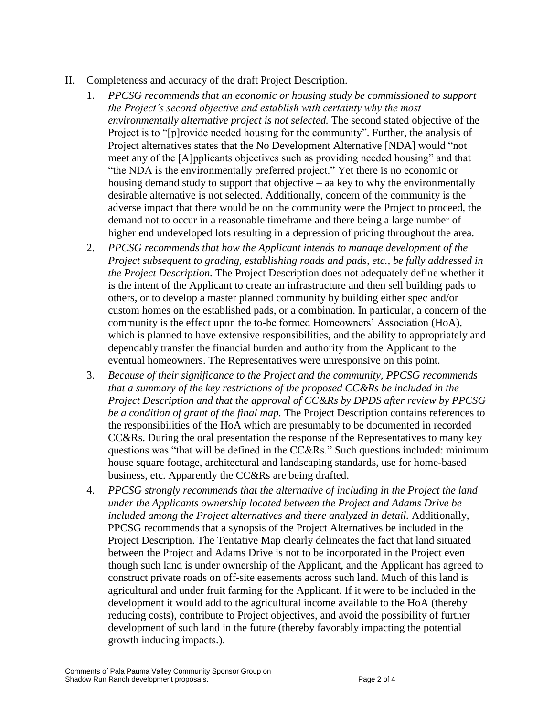- II. Completeness and accuracy of the draft Project Description.
	- 1. *PPCSG recommends that an economic or housing study be commissioned to support the Project's second objective and establish with certainty why the most environmentally alternative project is not selected.* The second stated objective of the Project is to "[p]rovide needed housing for the community". Further, the analysis of Project alternatives states that the No Development Alternative [NDA] would "not meet any of the [A]pplicants objectives such as providing needed housing" and that "the NDA is the environmentally preferred project." Yet there is no economic or housing demand study to support that objective – aa key to why the environmentally desirable alternative is not selected. Additionally, concern of the community is the adverse impact that there would be on the community were the Project to proceed, the demand not to occur in a reasonable timeframe and there being a large number of higher end undeveloped lots resulting in a depression of pricing throughout the area.
	- 2. *PPCSG recommends that how the Applicant intends to manage development of the Project subsequent to grading, establishing roads and pads, etc., be fully addressed in the Project Description.* The Project Description does not adequately define whether it is the intent of the Applicant to create an infrastructure and then sell building pads to others, or to develop a master planned community by building either spec and/or custom homes on the established pads, or a combination. In particular, a concern of the community is the effect upon the to-be formed Homeowners' Association (HoA), which is planned to have extensive responsibilities, and the ability to appropriately and dependably transfer the financial burden and authority from the Applicant to the eventual homeowners. The Representatives were unresponsive on this point.
	- 3. *Because of their significance to the Project and the community, PPCSG recommends that a summary of the key restrictions of the proposed CC&Rs be included in the Project Description and that the approval of CC&Rs by DPDS after review by PPCSG be a condition of grant of the final map.* The Project Description contains references to the responsibilities of the HoA which are presumably to be documented in recorded CC&Rs. During the oral presentation the response of the Representatives to many key questions was "that will be defined in the CC&Rs." Such questions included: minimum house square footage, architectural and landscaping standards, use for home-based business, etc. Apparently the CC&Rs are being drafted.
	- 4. *PPCSG strongly recommends that the alternative of including in the Project the land under the Applicants ownership located between the Project and Adams Drive be included among the Project alternatives and there analyzed in detail.* Additionally, PPCSG recommends that a synopsis of the Project Alternatives be included in the Project Description. The Tentative Map clearly delineates the fact that land situated between the Project and Adams Drive is not to be incorporated in the Project even though such land is under ownership of the Applicant, and the Applicant has agreed to construct private roads on off-site easements across such land. Much of this land is agricultural and under fruit farming for the Applicant. If it were to be included in the development it would add to the agricultural income available to the HoA (thereby reducing costs), contribute to Project objectives, and avoid the possibility of further development of such land in the future (thereby favorably impacting the potential growth inducing impacts.).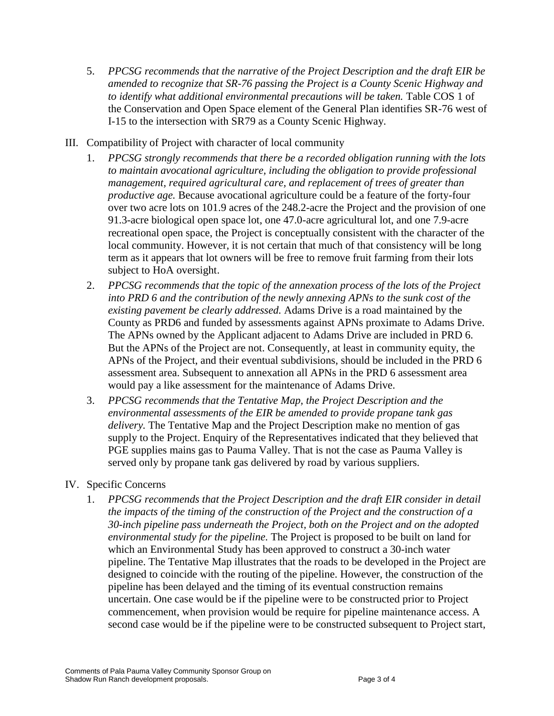- 5. *PPCSG recommends that the narrative of the Project Description and the draft EIR be amended to recognize that SR-76 passing the Project is a County Scenic Highway and to identify what additional environmental precautions will be taken.* Table COS 1 of the Conservation and Open Space element of the General Plan identifies SR-76 west of I-15 to the intersection with SR79 as a County Scenic Highway.
- III. Compatibility of Project with character of local community
	- 1. *PPCSG strongly recommends that there be a recorded obligation running with the lots to maintain avocational agriculture, including the obligation to provide professional management, required agricultural care, and replacement of trees of greater than productive age.* Because avocational agriculture could be a feature of the forty-four over two acre lots on 101.9 acres of the 248.2-acre the Project and the provision of one 91.3-acre biological open space lot, one 47.0-acre agricultural lot, and one 7.9-acre recreational open space, the Project is conceptually consistent with the character of the local community. However, it is not certain that much of that consistency will be long term as it appears that lot owners will be free to remove fruit farming from their lots subject to HoA oversight.
	- 2. *PPCSG recommends that the topic of the annexation process of the lots of the Project into PRD 6 and the contribution of the newly annexing APNs to the sunk cost of the existing pavement be clearly addressed.* Adams Drive is a road maintained by the County as PRD6 and funded by assessments against APNs proximate to Adams Drive. The APNs owned by the Applicant adjacent to Adams Drive are included in PRD 6. But the APNs of the Project are not. Consequently, at least in community equity, the APNs of the Project, and their eventual subdivisions, should be included in the PRD 6 assessment area. Subsequent to annexation all APNs in the PRD 6 assessment area would pay a like assessment for the maintenance of Adams Drive.
	- 3. *PPCSG recommends that the Tentative Map, the Project Description and the environmental assessments of the EIR be amended to provide propane tank gas delivery.* The Tentative Map and the Project Description make no mention of gas supply to the Project. Enquiry of the Representatives indicated that they believed that PGE supplies mains gas to Pauma Valley. That is not the case as Pauma Valley is served only by propane tank gas delivered by road by various suppliers.

## IV. Specific Concerns

1. *PPCSG recommends that the Project Description and the draft EIR consider in detail the impacts of the timing of the construction of the Project and the construction of a 30-inch pipeline pass underneath the Project, both on the Project and on the adopted environmental study for the pipeline.* The Project is proposed to be built on land for which an Environmental Study has been approved to construct a 30-inch water pipeline. The Tentative Map illustrates that the roads to be developed in the Project are designed to coincide with the routing of the pipeline. However, the construction of the pipeline has been delayed and the timing of its eventual construction remains uncertain. One case would be if the pipeline were to be constructed prior to Project commencement, when provision would be require for pipeline maintenance access. A second case would be if the pipeline were to be constructed subsequent to Project start,